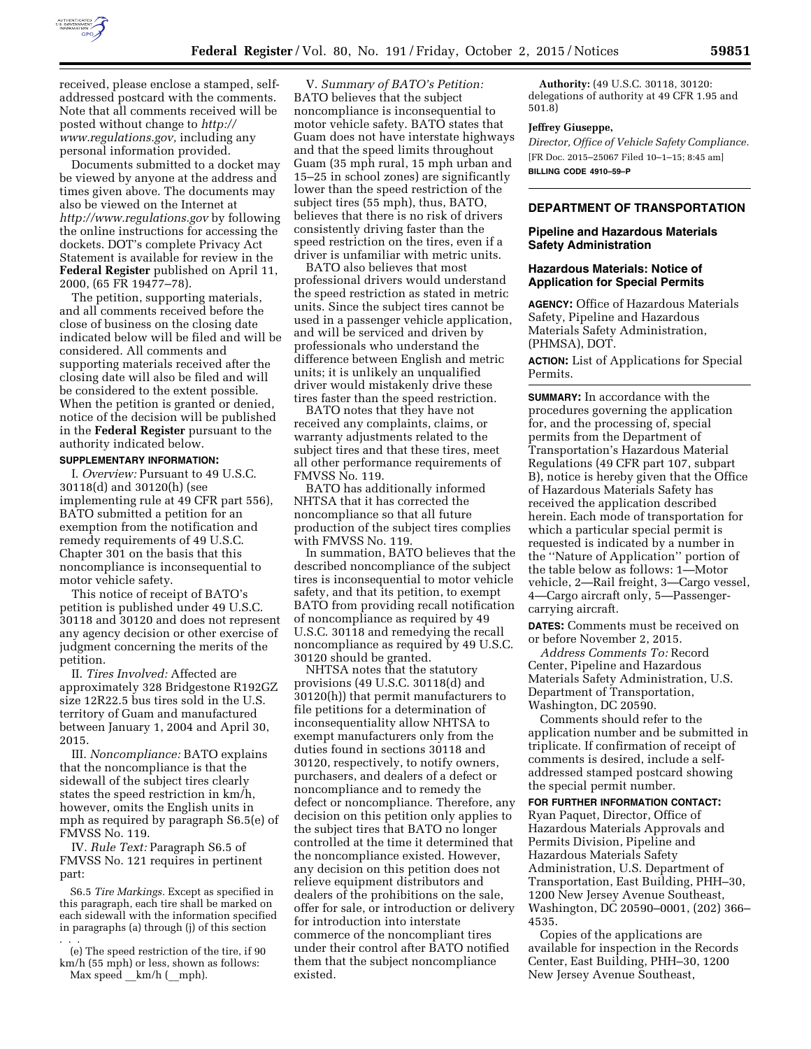

received, please enclose a stamped, selfaddressed postcard with the comments. Note that all comments received will be posted without change to *[http://](http://www.regulations.gov) [www.regulations.gov,](http://www.regulations.gov)* including any personal information provided.

Documents submitted to a docket may be viewed by anyone at the address and times given above. The documents may also be viewed on the Internet at *<http://www.regulations.gov>* by following the online instructions for accessing the dockets. DOT's complete Privacy Act Statement is available for review in the **Federal Register** published on April 11, 2000, (65 FR 19477–78).

The petition, supporting materials, and all comments received before the close of business on the closing date indicated below will be filed and will be considered. All comments and supporting materials received after the closing date will also be filed and will be considered to the extent possible. When the petition is granted or denied, notice of the decision will be published in the **Federal Register** pursuant to the authority indicated below.

## **SUPPLEMENTARY INFORMATION:**

I. *Overview:* Pursuant to 49 U.S.C. 30118(d) and 30120(h) (see implementing rule at 49 CFR part 556), BATO submitted a petition for an exemption from the notification and remedy requirements of 49 U.S.C. Chapter 301 on the basis that this noncompliance is inconsequential to motor vehicle safety.

This notice of receipt of BATO's petition is published under 49 U.S.C. 30118 and 30120 and does not represent any agency decision or other exercise of judgment concerning the merits of the petition.

II. *Tires Involved:* Affected are approximately 328 Bridgestone R192GZ size 12R22.5 bus tires sold in the U.S. territory of Guam and manufactured between January 1, 2004 and April 30, 2015.

III. *Noncompliance:* BATO explains that the noncompliance is that the sidewall of the subject tires clearly states the speed restriction in km/h, however, omits the English units in mph as required by paragraph S6.5(e) of FMVSS No. 119.

IV. *Rule Text:* Paragraph S6.5 of FMVSS No. 121 requires in pertinent part:

S6.5 *Tire Markings.* Except as specified in this paragraph, each tire shall be marked on each sidewall with the information specified in paragraphs (a) through (j) of this section . . .

- (e) The speed restriction of the tire, if 90 km/h (55 mph) or less, shown as follows:
- $Max speed \ km/h$  ( $mph$ ).

V. *Summary of BATO's Petition:*  BATO believes that the subject noncompliance is inconsequential to motor vehicle safety. BATO states that Guam does not have interstate highways and that the speed limits throughout Guam (35 mph rural, 15 mph urban and 15–25 in school zones) are significantly lower than the speed restriction of the subject tires (55 mph), thus, BATO, believes that there is no risk of drivers consistently driving faster than the speed restriction on the tires, even if a driver is unfamiliar with metric units.

BATO also believes that most professional drivers would understand the speed restriction as stated in metric units. Since the subject tires cannot be used in a passenger vehicle application, and will be serviced and driven by professionals who understand the difference between English and metric units; it is unlikely an unqualified driver would mistakenly drive these tires faster than the speed restriction.

BATO notes that they have not received any complaints, claims, or warranty adjustments related to the subject tires and that these tires, meet all other performance requirements of FMVSS No. 119.

BATO has additionally informed NHTSA that it has corrected the noncompliance so that all future production of the subject tires complies with FMVSS No. 119.

In summation, BATO believes that the described noncompliance of the subject tires is inconsequential to motor vehicle safety, and that its petition, to exempt BATO from providing recall notification of noncompliance as required by 49 U.S.C. 30118 and remedying the recall noncompliance as required by 49 U.S.C. 30120 should be granted.

NHTSA notes that the statutory provisions (49 U.S.C. 30118(d) and 30120(h)) that permit manufacturers to file petitions for a determination of inconsequentiality allow NHTSA to exempt manufacturers only from the duties found in sections 30118 and 30120, respectively, to notify owners, purchasers, and dealers of a defect or noncompliance and to remedy the defect or noncompliance. Therefore, any decision on this petition only applies to the subject tires that BATO no longer controlled at the time it determined that the noncompliance existed. However, any decision on this petition does not relieve equipment distributors and dealers of the prohibitions on the sale, offer for sale, or introduction or delivery for introduction into interstate commerce of the noncompliant tires under their control after BATO notified them that the subject noncompliance existed.

**Authority:** (49 U.S.C. 30118, 30120: delegations of authority at 49 CFR 1.95 and 501.8)

#### **Jeffrey Giuseppe,**

*Director, Office of Vehicle Safety Compliance.*  [FR Doc. 2015–25067 Filed 10–1–15; 8:45 am] **BILLING CODE 4910–59–P** 

#### **DEPARTMENT OF TRANSPORTATION**

### **Pipeline and Hazardous Materials Safety Administration**

### **Hazardous Materials: Notice of Application for Special Permits**

**AGENCY:** Office of Hazardous Materials Safety, Pipeline and Hazardous Materials Safety Administration, (PHMSA), DOT.

**ACTION:** List of Applications for Special Permits.

**SUMMARY:** In accordance with the procedures governing the application for, and the processing of, special permits from the Department of Transportation's Hazardous Material Regulations (49 CFR part 107, subpart B), notice is hereby given that the Office of Hazardous Materials Safety has received the application described herein. Each mode of transportation for which a particular special permit is requested is indicated by a number in the ''Nature of Application'' portion of the table below as follows: 1—Motor vehicle, 2—Rail freight, 3—Cargo vessel, 4—Cargo aircraft only, 5—Passengercarrying aircraft.

**DATES:** Comments must be received on or before November 2, 2015.

*Address Comments To:* Record Center, Pipeline and Hazardous Materials Safety Administration, U.S. Department of Transportation, Washington, DC 20590.

Comments should refer to the application number and be submitted in triplicate. If confirmation of receipt of comments is desired, include a selfaddressed stamped postcard showing the special permit number.

#### **FOR FURTHER INFORMATION CONTACT:**

Ryan Paquet, Director, Office of Hazardous Materials Approvals and Permits Division, Pipeline and Hazardous Materials Safety Administration, U.S. Department of Transportation, East Building, PHH–30, 1200 New Jersey Avenue Southeast, Washington, DC 20590–0001, (202) 366– 4535.

Copies of the applications are available for inspection in the Records Center, East Building, PHH–30, 1200 New Jersey Avenue Southeast,